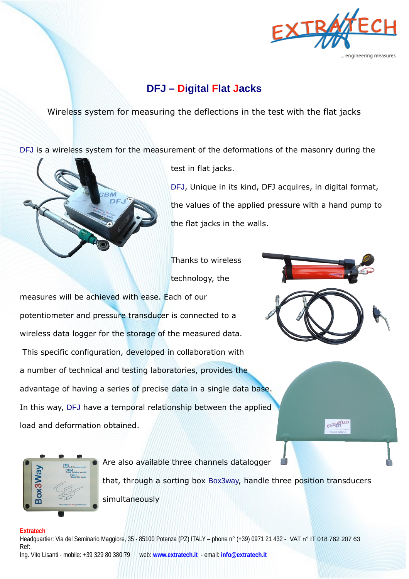

# **DFJ – Digital Flat Jacks**

Wireless system for measuring the deflections in the test with the flat jacks

DFJ is a wireless system for the measurement of the deformations of the masonry during the



test in flat jacks.

DFJ, Unique in its kind, DFJ acquires, in digital format, the values of the applied pressure with a hand pump to the flat jacks in the walls.

Thanks to wireless technology, the

measures will be achieved with ease. Each of our potentiometer and pressure transducer is connected to a wireless data logger for the storage of the measured data. This specific configuration, developed in collaboration with a number of technical and testing laboratories, provides the advantage of having a series of precise data in a single data base. In this way, DFJ have a temporal relationship between the applied load and deformation obtained.



EXTRATECH



Are also available three channels datalogger that, through a sorting box Box3way, handle three position transducers simultaneously

## **Extratech**

Headquartier: Via del Seminario Maggiore, 35 - 85100 Potenza (PZ) ITALY – phone n° (+39) 0971 21 432 - VAT n° IT 018 762 207 63 Ref: Ing. Vito Lisanti - mobile: +39 329 80 380 79 web: **www.extratech.it** - email: **info@extratech.it**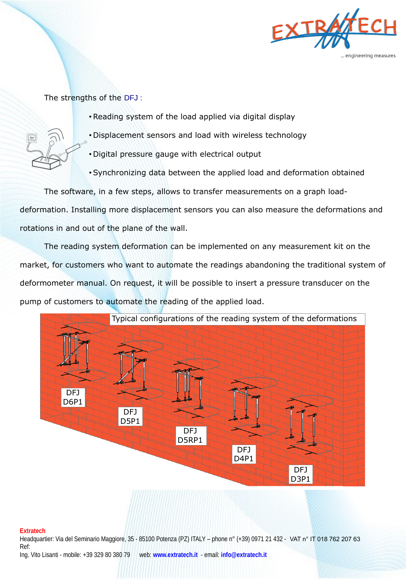

The strengths of the DFJ :

- •Reading system of the load applied via digital display
- Displacement sensors and load with wireless technology
	- Digital pressure gauge with electrical output
	- •Synchronizing data between the applied load and deformation obtained

The software, in a few steps, allows to transfer measurements on a graph loaddeformation. Installing more displacement sensors you can also measure the deformations and rotations in and out of the plane of the wall.

The reading system deformation can be implemented on any measurement kit on the market, for customers who want to automate the readings abandoning the traditional system of deformometer manual. On request, it will be possible to insert a pressure transducer on the pump of customers to automate the reading of the applied load.



### **Extratech**

Headquartier: Via del Seminario Maggiore, 35 - 85100 Potenza (PZ) ITALY – phone n° (+39) 0971 21 432 - VAT n° IT 018 762 207 63 Ref: